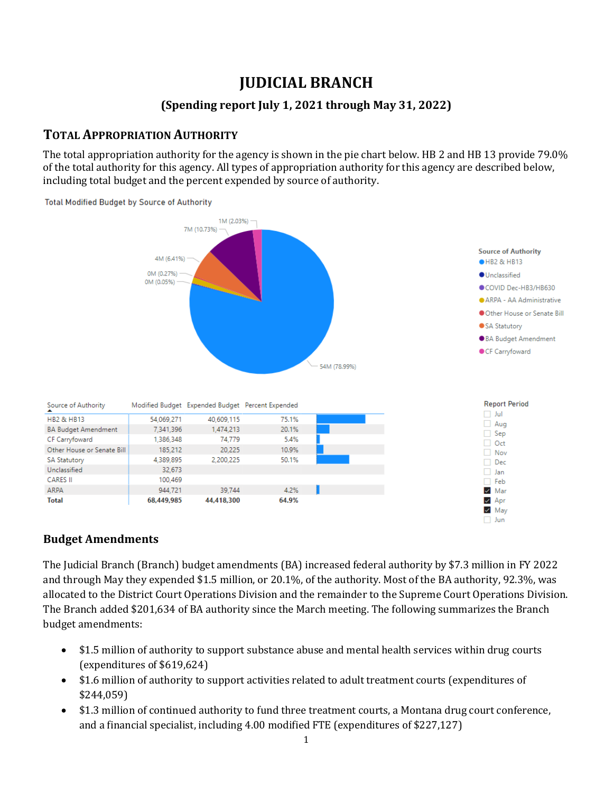# **JUDICIAL BRANCH**

#### **(Spending report July 1, 2021 through May 31, 2022)**

## **TOTAL APPROPRIATION AUTHORITY**

The total appropriation authority for the agency is shown in the pie chart below. HB 2 and HB 13 provide 79.0% of the total authority for this agency. All types of appropriation authority for this agency are described below, including total budget and the percent expended by source of authority.



#### **Budget Amendments**

The Judicial Branch (Branch) budget amendments (BA) increased federal authority by \$7.3 million in FY 2022 and through May they expended \$1.5 million, or 20.1%, of the authority. Most of the BA authority, 92.3%, was allocated to the District Court Operations Division and the remainder to the Supreme Court Operations Division. The Branch added \$201,634 of BA authority since the March meeting. The following summarizes the Branch budget amendments:

- \$1.5 million of authority to support substance abuse and mental health services within drug courts (expenditures of \$619,624)
- \$1.6 million of authority to support activities related to adult treatment courts (expenditures of \$244,059)
- \$1.3 million of continued authority to fund three treatment courts, a Montana drug court conference, and a financial specialist, including 4.00 modified FTE (expenditures of \$227,127)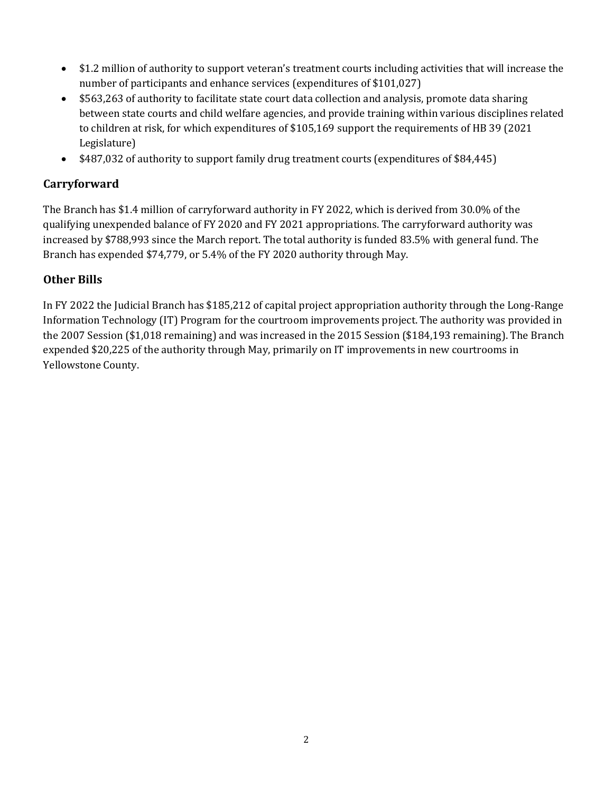- \$1.2 million of authority to support veteran's treatment courts including activities that will increase the number of participants and enhance services (expenditures of \$101,027)
- \$563,263 of authority to facilitate state court data collection and analysis, promote data sharing between state courts and child welfare agencies, and provide training within various disciplines related to children at risk, for which expenditures of \$105,169 support the requirements of HB 39 (2021 Legislature)
- \$487,032 of authority to support family drug treatment courts (expenditures of \$84,445)

## **Carryforward**

The Branch has \$1.4 million of carryforward authority in FY 2022, which is derived from 30.0% of the qualifying unexpended balance of FY 2020 and FY 2021 appropriations. The carryforward authority was increased by \$788,993 since the March report. The total authority is funded 83.5% with general fund. The Branch has expended \$74,779, or 5.4% of the FY 2020 authority through May.

## **Other Bills**

In FY 2022 the Judicial Branch has \$185,212 of capital project appropriation authority through the Long-Range Information Technology (IT) Program for the courtroom improvements project. The authority was provided in the 2007 Session (\$1,018 remaining) and was increased in the 2015 Session (\$184,193 remaining). The Branch expended \$20,225 of the authority through May, primarily on IT improvements in new courtrooms in Yellowstone County.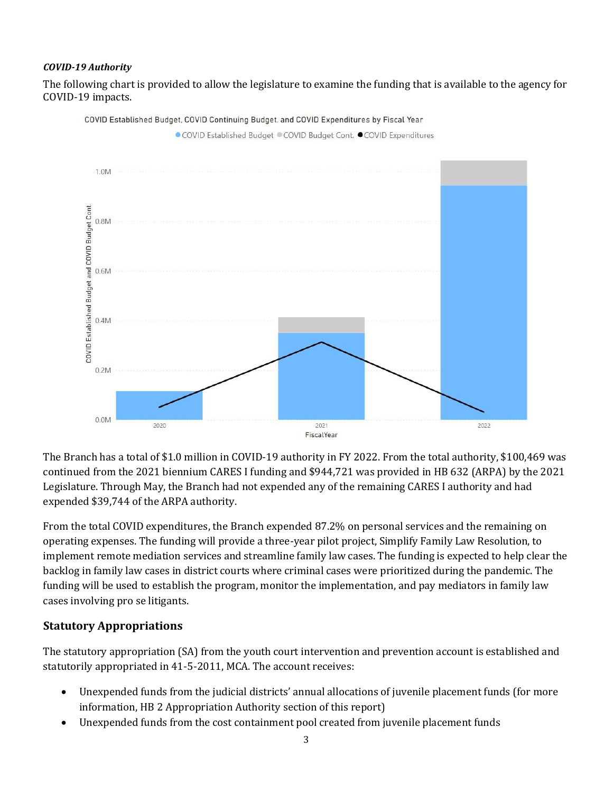#### *COVID-19 Authority*

The following chart is provided to allow the legislature to examine the funding that is available to the agency for COVID-19 impacts.



COVID Established Budget, COVID Continuing Budget, and COVID Expenditures by Fiscal Year

The Branch has a total of \$1.0 million in COVID-19 authority in FY 2022. From the total authority, \$100,469 was continued from the 2021 biennium CARES I funding and \$944,721 was provided in HB 632 (ARPA) by the 2021 Legislature. Through May, the Branch had not expended any of the remaining CARES I authority and had expended \$39,744 of the ARPA authority.

From the total COVID expenditures, the Branch expended 87.2% on personal services and the remaining on operating expenses. The funding will provide a three-year pilot project, Simplify Family Law Resolution, to implement remote mediation services and streamline family law cases. The funding is expected to help clear the backlog in family law cases in district courts where criminal cases were prioritized during the pandemic. The funding will be used to establish the program, monitor the implementation, and pay mediators in family law cases involving pro se litigants.

#### **Statutory Appropriations**

The statutory appropriation (SA) from the youth court intervention and prevention account is established and statutorily appropriated in 41-5-2011, MCA. The account receives:

- Unexpended funds from the judicial districts' annual allocations of juvenile placement funds (for more information, HB 2 Appropriation Authority section of this report)
- Unexpended funds from the cost containment pool created from juvenile placement funds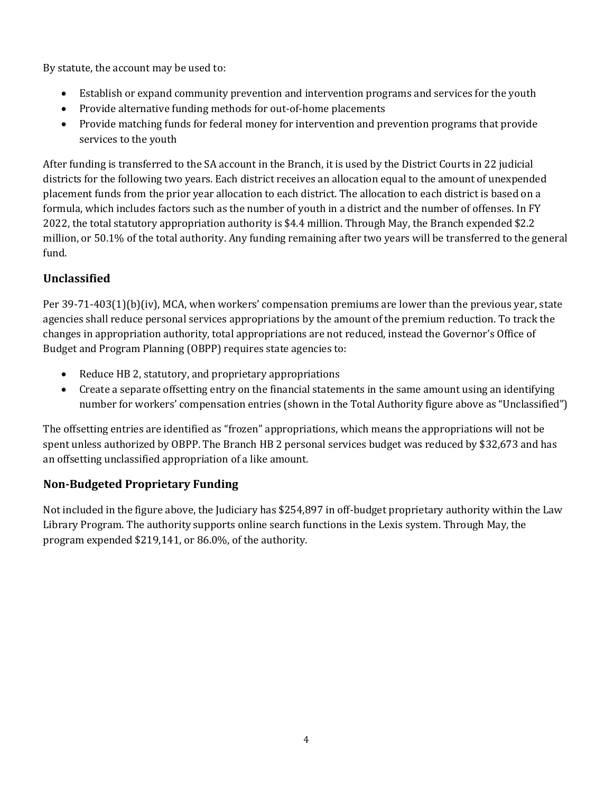By statute, the account may be used to:

- Establish or expand community prevention and intervention programs and services for the youth
- Provide alternative funding methods for out-of-home placements
- Provide matching funds for federal money for intervention and prevention programs that provide services to the youth

After funding is transferred to the SA account in the Branch, it is used by the District Courts in 22 judicial districts for the following two years. Each district receives an allocation equal to the amount of unexpended placement funds from the prior year allocation to each district. The allocation to each district is based on a formula, which includes factors such as the number of youth in a district and the number of offenses. In FY 2022, the total statutory appropriation authority is \$4.4 million. Through May, the Branch expended \$2.2 million, or 50.1% of the total authority. Any funding remaining after two years will be transferred to the general fund.

## **Unclassified**

Per 39-71-403(1)(b)(iv), MCA, when workers' compensation premiums are lower than the previous year, state agencies shall reduce personal services appropriations by the amount of the premium reduction. To track the changes in appropriation authority, total appropriations are not reduced, instead the Governor's Office of Budget and Program Planning (OBPP) requires state agencies to:

- Reduce HB 2, statutory, and proprietary appropriations
- Create a separate offsetting entry on the financial statements in the same amount using an identifying number for workers' compensation entries (shown in the Total Authority figure above as "Unclassified")

The offsetting entries are identified as "frozen" appropriations, which means the appropriations will not be spent unless authorized by OBPP. The Branch HB 2 personal services budget was reduced by \$32,673 and has an offsetting unclassified appropriation of a like amount.

## **Non-Budgeted Proprietary Funding**

Not included in the figure above, the Judiciary has \$254,897 in off-budget proprietary authority within the Law Library Program. The authority supports online search functions in the Lexis system. Through May, the program expended \$219,141, or 86.0%, of the authority.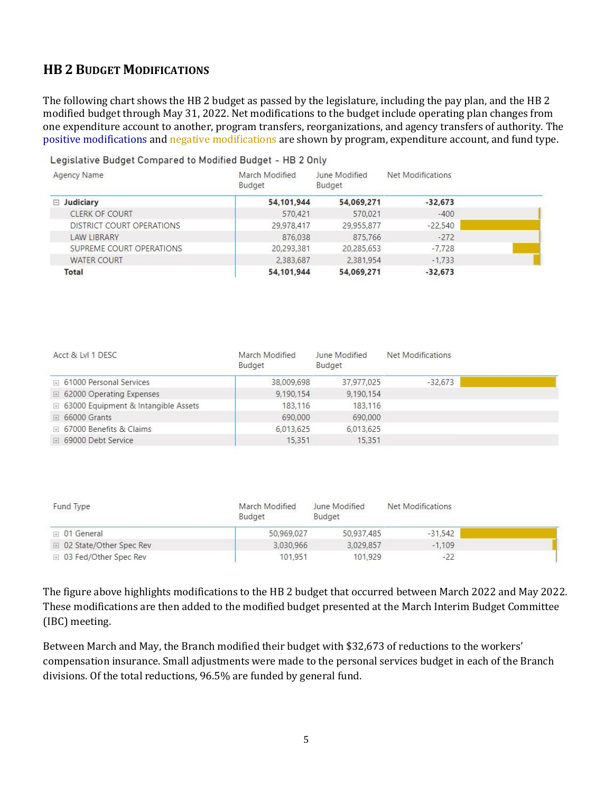## **HB 2 BUDGET MODIFICATIONS**

The following chart shows the HB 2 budget as passed by the legislature, including the pay plan, and the HB 2 modified budget through May 31, 2022. Net modifications to the budget include operating plan changes from one expenditure account to another, program transfers, reorganizations, and agency transfers of authority. The positive modifications and negative modifications are shown by program, expenditure account, and fund type.

Legislative Budget Compared to Modified Budget - HB 2 Only

| Agency Name               | March Modified<br>Budget | June Modified<br>Budget | Net Modifications |  |
|---------------------------|--------------------------|-------------------------|-------------------|--|
| $\Box$ Judiciary          | 54,101,944               | 54,069,271              | $-32,673$         |  |
| <b>CLERK OF COURT</b>     | 570,421                  | 570,021                 | $-400$            |  |
| DISTRICT COURT OPERATIONS | 29,978,417               | 29,955,877              | $-22.540$         |  |
| <b>LAW LIBRARY</b>        | 876,038                  | 875,766                 | $-272$            |  |
| SUPREME COURT OPERATIONS  | 20,293,381               | 20,285,653              | $-7,728$          |  |
| <b>WATER COURT</b>        | 2,383,687                | 2,381,954               | $-1.733$          |  |
| Total                     | 54,101,944               | 54,069,271              | $-32,673$         |  |

| Acct & LvI 1 DESC                     | March Modified<br>Budget | June Modified<br>Budget | Net Modifications |  |
|---------------------------------------|--------------------------|-------------------------|-------------------|--|
| ⊞ 61000 Personal Services             | 38,009,698               | 37,977,025              | $-32.673$         |  |
| □ 62000 Operating Expenses            | 9,190,154                | 9,190,154               |                   |  |
| □ 63000 Equipment & Intangible Assets | 183.116                  | 183,116                 |                   |  |
| $\boxplus$ 66000 Grants               | 690,000                  | 690,000                 |                   |  |
| <b>El 67000 Benefits &amp; Claims</b> | 6.013.625                | 6,013,625               |                   |  |
| □ 69000 Debt Service                  | 15.351                   | 15,351                  |                   |  |

| Fund Type                 | March Modified<br><b>Budget</b> | June Modified<br>Budget | <b>Net Modifications</b> |  |
|---------------------------|---------------------------------|-------------------------|--------------------------|--|
| □ 01 General              | 50,969,027                      | 50.937.485              | $-31.542$                |  |
| □ 02 State/Other Spec Rev | 3,030,966                       | 3,029,857               | $-1,109$                 |  |
| □ 03 Fed/Other Spec Rev   | 101.951                         | 101.929                 | $-22$                    |  |

The figure above highlights modifications to the HB 2 budget that occurred between March 2022 and May 2022. These modifications are then added to the modified budget presented at the March Interim Budget Committee (IBC) meeting.

Between March and May, the Branch modified their budget with \$32,673 of reductions to the workers' compensation insurance. Small adjustments were made to the personal services budget in each of the Branch divisions. Of the total reductions, 96.5% are funded by general fund.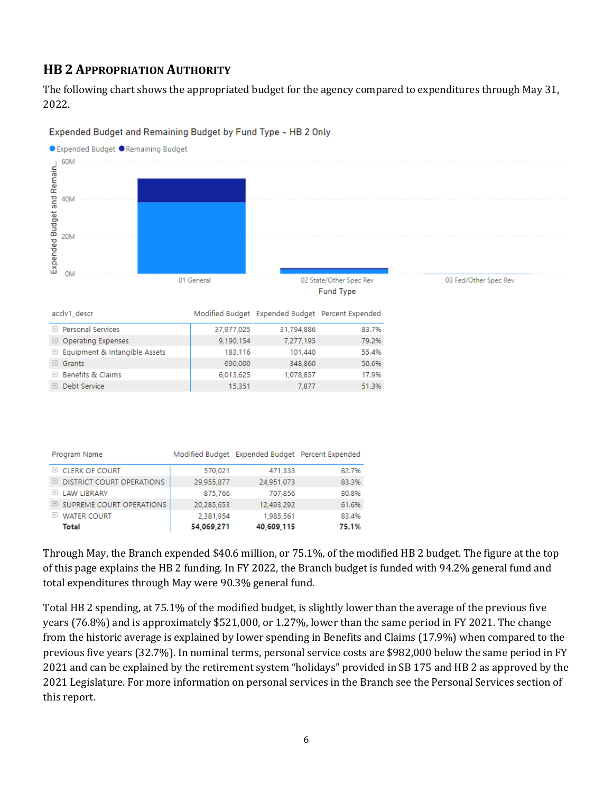## **HB 2 APPROPRIATION AUTHORITY**

The following chart shows the appropriated budget for the agency compared to expenditures through May 31, 2022.



#### Expended Budget and Remaining Budget by Fund Type - HB 2 Only

| Program Name                            |            | Modified Budget Expended Budget Percent Expended |       |
|-----------------------------------------|------------|--------------------------------------------------|-------|
| E CLERK OF COURT                        | 570.021    | 471.333                                          | 82.7% |
| <b>DISTRICT COURT OPERATIONS</b><br>$+$ | 29,955,877 | 24,951,073                                       | 83.3% |
| LAW LIBRARY                             | 875,766    | 707,856                                          | 80.8% |
| $\boxplus$ SUPREME COURT OPERATIONS     | 20.285.653 | 12.493.292                                       | 61.6% |
| <b>WATER COURT</b><br>$+$               | 2.381.954  | 1.985.561                                        | 83.4% |
| Total                                   | 54,069,271 | 40,609,115                                       | 75.1% |

Through May, the Branch expended \$40.6 million, or 75.1%, of the modified HB 2 budget. The figure at the top of this page explains the HB 2 funding. In FY 2022, the Branch budget is funded with 94.2% general fund and total expenditures through May were 90.3% general fund.

Total HB 2 spending, at 75.1% of the modified budget, is slightly lower than the average of the previous five years (76.8%) and is approximately \$521,000, or 1.27%, lower than the same period in FY 2021. The change from the historic average is explained by lower spending in Benefits and Claims (17.9%) when compared to the previous five years (32.7%). In nominal terms, personal service costs are \$982,000 below the same period in FY 2021 and can be explained by the retirement system "holidays" provided in SB 175 and HB 2 as approved by the 2021 Legislature. For more information on personal services in the Branch see the Personal Services section of this report.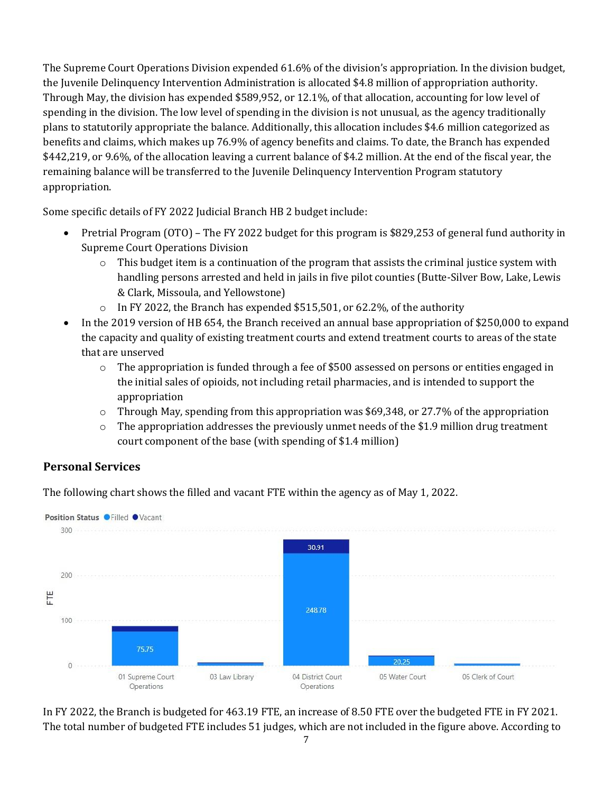The Supreme Court Operations Division expended 61.6% of the division's appropriation. In the division budget, the Juvenile Delinquency Intervention Administration is allocated \$4.8 million of appropriation authority. Through May, the division has expended \$589,952, or 12.1%, of that allocation, accounting for low level of spending in the division. The low level of spending in the division is not unusual, as the agency traditionally plans to statutorily appropriate the balance. Additionally, this allocation includes \$4.6 million categorized as benefits and claims, which makes up 76.9% of agency benefits and claims. To date, the Branch has expended \$442,219, or 9.6%, of the allocation leaving a current balance of \$4.2 million. At the end of the fiscal year, the remaining balance will be transferred to the Juvenile Delinquency Intervention Program statutory appropriation.

Some specific details of FY 2022 Judicial Branch HB 2 budget include:

- Pretrial Program (OTO) The FY 2022 budget for this program is \$829,253 of general fund authority in Supreme Court Operations Division
	- $\circ$  This budget item is a continuation of the program that assists the criminal justice system with handling persons arrested and held in jails in five pilot counties (Butte-Silver Bow, Lake, Lewis & Clark, Missoula, and Yellowstone)
	- o In FY 2022, the Branch has expended \$515,501, or 62.2%, of the authority
- In the 2019 version of HB 654, the Branch received an annual base appropriation of \$250,000 to expand the capacity and quality of existing treatment courts and extend treatment courts to areas of the state that are unserved
	- $\circ$  The appropriation is funded through a fee of \$500 assessed on persons or entities engaged in the initial sales of opioids, not including retail pharmacies, and is intended to support the appropriation
	- o Through May, spending from this appropriation was \$69,348, or 27.7% of the appropriation
	- $\circ$  The appropriation addresses the previously unmet needs of the \$1.9 million drug treatment court component of the base (with spending of \$1.4 million)

#### **Personal Services**

The following chart shows the filled and vacant FTE within the agency as of May 1, 2022.



In FY 2022, the Branch is budgeted for 463.19 FTE, an increase of 8.50 FTE over the budgeted FTE in FY 2021. The total number of budgeted FTE includes 51 judges, which are not included in the figure above. According to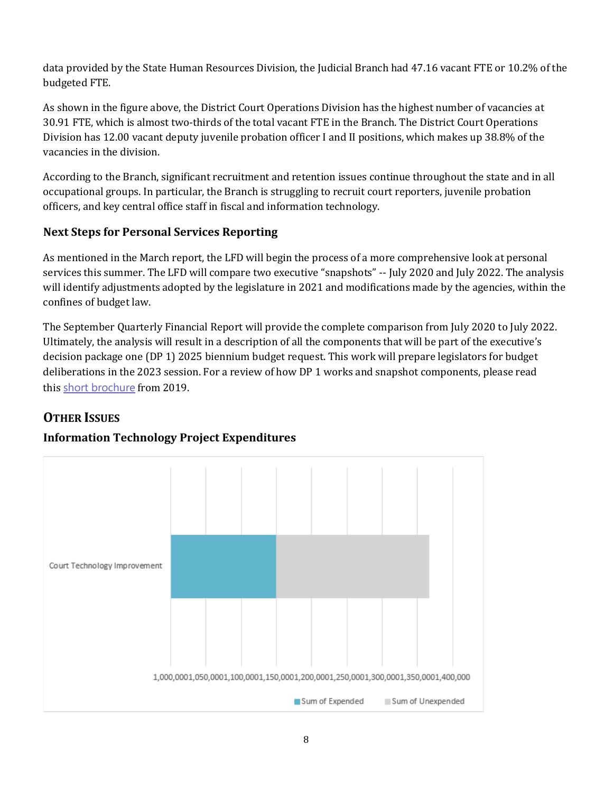data provided by the State Human Resources Division, the Judicial Branch had 47.16 vacant FTE or 10.2% of the budgeted FTE.

As shown in the figure above, the District Court Operations Division has the highest number of vacancies at 30.91 FTE, which is almost two-thirds of the total vacant FTE in the Branch. The District Court Operations Division has 12.00 vacant deputy juvenile probation officer I and II positions, which makes up 38.8% of the vacancies in the division.

According to the Branch, significant recruitment and retention issues continue throughout the state and in all occupational groups. In particular, the Branch is struggling to recruit court reporters, juvenile probation officers, and key central office staff in fiscal and information technology.

## **Next Steps for Personal Services Reporting**

As mentioned in the March report, the LFD will begin the process of a more comprehensive look at personal services this summer. The LFD will compare two executive "snapshots" -- July 2020 and July 2022. The analysis will identify adjustments adopted by the legislature in 2021 and modifications made by the agencies, within the confines of budget law.

The September Quarterly Financial Report will provide the complete comparison from July 2020 to July 2022. Ultimately, the analysis will result in a description of all the components that will be part of the executive's decision package one (DP 1) 2025 biennium budget request. This work will prepare legislators for budget deliberations in the 2023 session. For a review of how DP 1 works and snapshot components, please read this [short brochure](https://montana.maps.arcgis.com/apps/Cascade/index.html?appid=23095fcf15754f4fb38b63c58a884b97) from 2019.

## **OTHER ISSUES**

## **Information Technology Project Expenditures**